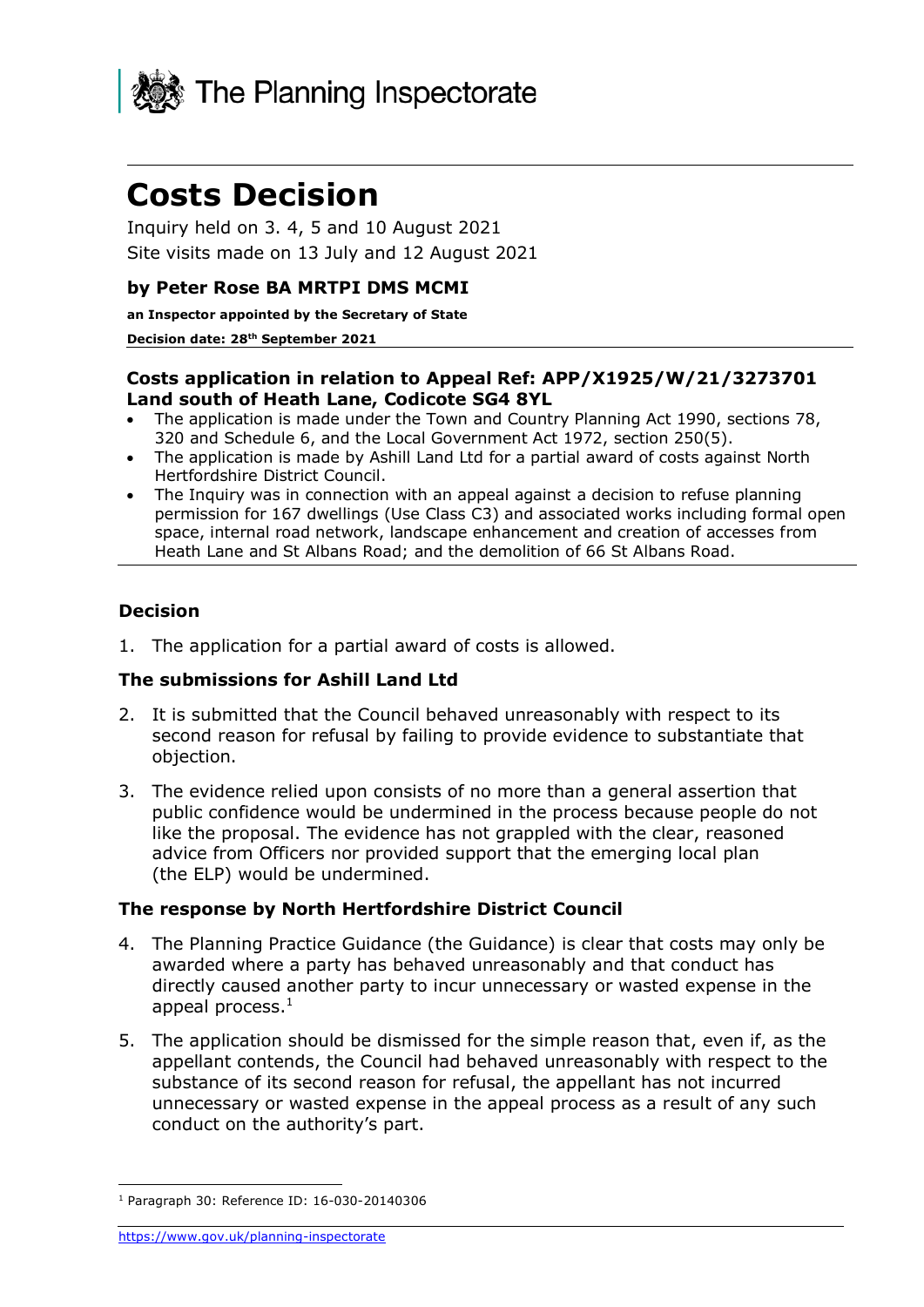

# **Costs Decision**

Inquiry held on 3. 4, 5 and 10 August 2021 Site visits made on 13 July and 12 August 2021

#### **by Peter Rose BA MRTPI DMS MCMI**

**an Inspector appointed by the Secretary of State** 

#### **Decision date: 28th September 2021**

### **Costs application in relation to Appeal Ref: APP/X1925/W/21/3273701 Land south of Heath Lane, Codicote SG4 8YL**

- The application is made under the Town and Country Planning Act 1990, sections 78, 320 and Schedule 6, and the Local Government Act 1972, section 250(5).
- The application is made by Ashill Land Ltd for a partial award of costs against North Hertfordshire District Council.
- The Inquiry was in connection with an appeal against a decision to refuse planning permission for 167 dwellings (Use Class C3) and associated works including formal open space, internal road network, landscape enhancement and creation of accesses from Heath Lane and St Albans Road; and the demolition of 66 St Albans Road.

### **Decision**

1. The application for a partial award of costs is allowed.

### **The submissions for Ashill Land Ltd**

- 2. It is submitted that the Council behaved unreasonably with respect to its second reason for refusal by failing to provide evidence to substantiate that objection.
- 3. The evidence relied upon consists of no more than a general assertion that public confidence would be undermined in the process because people do not like the proposal. The evidence has not grappled with the clear, reasoned advice from Officers nor provided support that the emerging local plan (the ELP) would be undermined.

### **The response by North Hertfordshire District Council**

- 4. The Planning Practice Guidance (the Guidance) is clear that costs may only be awarded where a party has behaved unreasonably and that conduct has directly caused another party to incur unnecessary or wasted expense in the appeal process. $<sup>1</sup>$ </sup>
- 5. The application should be dismissed for the simple reason that, even if, as the appellant contends, the Council had behaved unreasonably with respect to the substance of its second reason for refusal, the appellant has not incurred unnecessary or wasted expense in the appeal process as a result of any such conduct on the authority's part.

<sup>1</sup> Paragraph 30: Reference ID: 16-030-20140306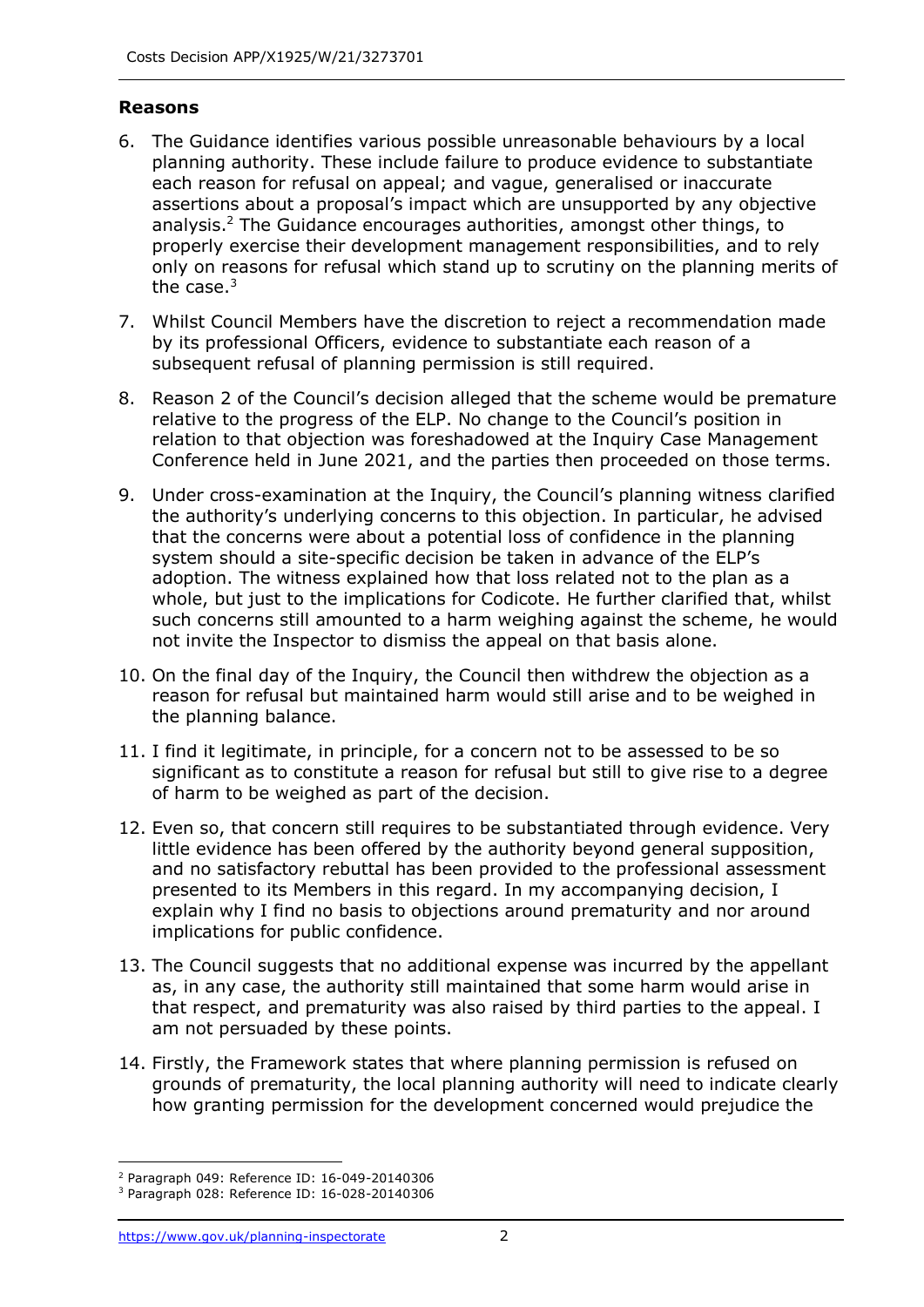# **Reasons**

- 6. The Guidance identifies various possible unreasonable behaviours by a local planning authority. These include failure to produce evidence to substantiate each reason for refusal on appeal; and vague, generalised or inaccurate assertions about a proposal's impact which are unsupported by any objective analysis.<sup>2</sup> The Guidance encourages authorities, amongst other things, to properly exercise their development management responsibilities, and to rely only on reasons for refusal which stand up to scrutiny on the planning merits of the case. $3$
- 7. Whilst Council Members have the discretion to reject a recommendation made by its professional Officers, evidence to substantiate each reason of a subsequent refusal of planning permission is still required.
- 8. Reason 2 of the Council's decision alleged that the scheme would be premature relative to the progress of the ELP. No change to the Council's position in relation to that objection was foreshadowed at the Inquiry Case Management Conference held in June 2021, and the parties then proceeded on those terms.
- 9. Under cross-examination at the Inquiry, the Council's planning witness clarified the authority's underlying concerns to this objection. In particular, he advised that the concerns were about a potential loss of confidence in the planning system should a site-specific decision be taken in advance of the ELP's adoption. The witness explained how that loss related not to the plan as a whole, but just to the implications for Codicote. He further clarified that, whilst such concerns still amounted to a harm weighing against the scheme, he would not invite the Inspector to dismiss the appeal on that basis alone.
- 10. On the final day of the Inquiry, the Council then withdrew the objection as a reason for refusal but maintained harm would still arise and to be weighed in the planning balance.
- 11. I find it legitimate, in principle, for a concern not to be assessed to be so significant as to constitute a reason for refusal but still to give rise to a degree of harm to be weighed as part of the decision.
- 12. Even so, that concern still requires to be substantiated through evidence. Very little evidence has been offered by the authority beyond general supposition, and no satisfactory rebuttal has been provided to the professional assessment presented to its Members in this regard. In my accompanying decision, I explain why I find no basis to objections around prematurity and nor around implications for public confidence.
- 13. The Council suggests that no additional expense was incurred by the appellant as, in any case, the authority still maintained that some harm would arise in that respect, and prematurity was also raised by third parties to the appeal. I am not persuaded by these points.
- 14. Firstly, the Framework states that where planning permission is refused on grounds of prematurity, the local planning authority will need to indicate clearly how granting permission for the development concerned would prejudice the

<sup>2</sup> Paragraph 049: Reference ID: 16-049-20140306

<sup>3</sup> Paragraph 028: Reference ID: 16-028-20140306